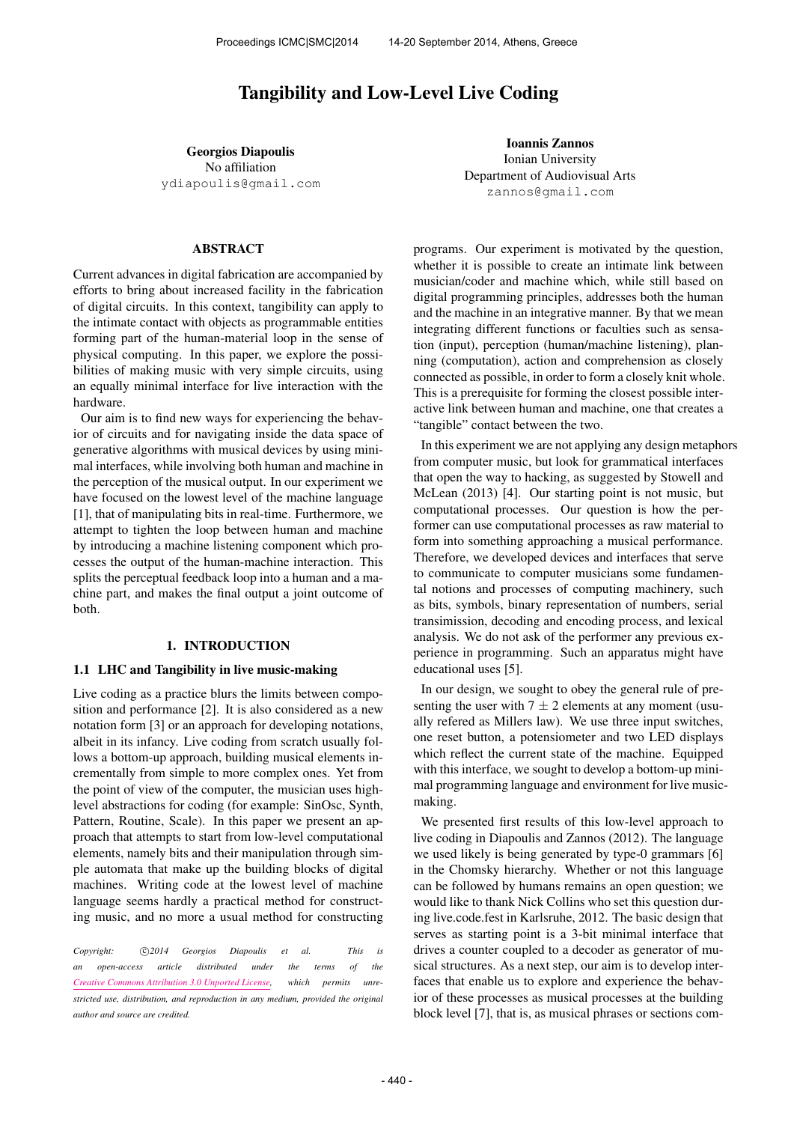# Tangibility and Low-Level Live Coding

Georgios Diapoulis No affiliation [ydiapoulis@gmail.com](mailto:ydiapoulis@gmail.com)

Ioannis Zannos Ionian University Department of Audiovisual Arts [zannos@gmail.com](mailto:zannos@gmail.com)

## ABSTRACT

Current advances in digital fabrication are accompanied by efforts to bring about increased facility in the fabrication of digital circuits. In this context, tangibility can apply to the intimate contact with objects as programmable entities forming part of the human-material loop in the sense of physical computing. In this paper, we explore the possibilities of making music with very simple circuits, using an equally minimal interface for live interaction with the hardware.

Our aim is to find new ways for experiencing the behavior of circuits and for navigating inside the data space of generative algorithms with musical devices by using minimal interfaces, while involving both human and machine in the perception of the musical output. In our experiment we have focused on the lowest level of the machine language [1], that of manipulating bits in real-time. Furthermore, we attempt to tighten the loop between human and machine by introducing a machine listening component which processes the output of the human-machine interaction. This splits the perceptual feedback loop into a human and a machine part, and makes the final output a joint outcome of both.

#### 1. INTRODUCTION

#### 1.1 LHC and Tangibility in live music-making

Live coding as a practice blurs the limits between composition and performance [2]. It is also considered as a new notation form [3] or an approach for developing notations, albeit in its infancy. Live coding from scratch usually follows a bottom-up approach, building musical elements incrementally from simple to more complex ones. Yet from the point of view of the computer, the musician uses highlevel abstractions for coding (for example: SinOsc, Synth, Pattern, Routine, Scale). In this paper we present an approach that attempts to start from low-level computational elements, namely bits and their manipulation through simple automata that make up the building blocks of digital machines. Writing code at the lowest level of machine language seems hardly a practical method for constructing music, and no more a usual method for constructing

*Copyright:* ⃝c *2014 Georgios Diapoulis et al. This is an open-access article distributed under the terms of the [Creative Commons Attribution 3.0 Unported License,](http://creativecommons.org/licenses/by/3.0/) which permits unrestricted use, distribution, and reproduction in any medium, provided the original author and source are credited.*

programs. Our experiment is motivated by the question, whether it is possible to create an intimate link between musician/coder and machine which, while still based on digital programming principles, addresses both the human and the machine in an integrative manner. By that we mean integrating different functions or faculties such as sensation (input), perception (human/machine listening), planning (computation), action and comprehension as closely connected as possible, in order to form a closely knit whole. This is a prerequisite for forming the closest possible interactive link between human and machine, one that creates a "tangible" contact between the two.

In this experiment we are not applying any design metaphors from computer music, but look for grammatical interfaces that open the way to hacking, as suggested by Stowell and McLean (2013) [4]. Our starting point is not music, but computational processes. Our question is how the performer can use computational processes as raw material to form into something approaching a musical performance. Therefore, we developed devices and interfaces that serve to communicate to computer musicians some fundamental notions and processes of computing machinery, such as bits, symbols, binary representation of numbers, serial transimission, decoding and encoding process, and lexical analysis. We do not ask of the performer any previous experience in programming. Such an apparatus might have educational uses [5].

In our design, we sought to obey the general rule of presenting the user with  $7 \pm 2$  elements at any moment (usually refered as Millers law). We use three input switches, one reset button, a potensiometer and two LED displays which reflect the current state of the machine. Equipped with this interface, we sought to develop a bottom-up minimal programming language and environment for live musicmaking.

We presented first results of this low-level approach to live coding in Diapoulis and Zannos (2012). The language we used likely is being generated by type-0 grammars [6] in the Chomsky hierarchy. Whether or not this language can be followed by humans remains an open question; we would like to thank Nick Collins who set this question during live.code.fest in Karlsruhe, 2012. The basic design that serves as starting point is a 3-bit minimal interface that drives a counter coupled to a decoder as generator of musical structures. As a next step, our aim is to develop interfaces that enable us to explore and experience the behavior of these processes as musical processes at the building block level [7], that is, as musical phrases or sections com-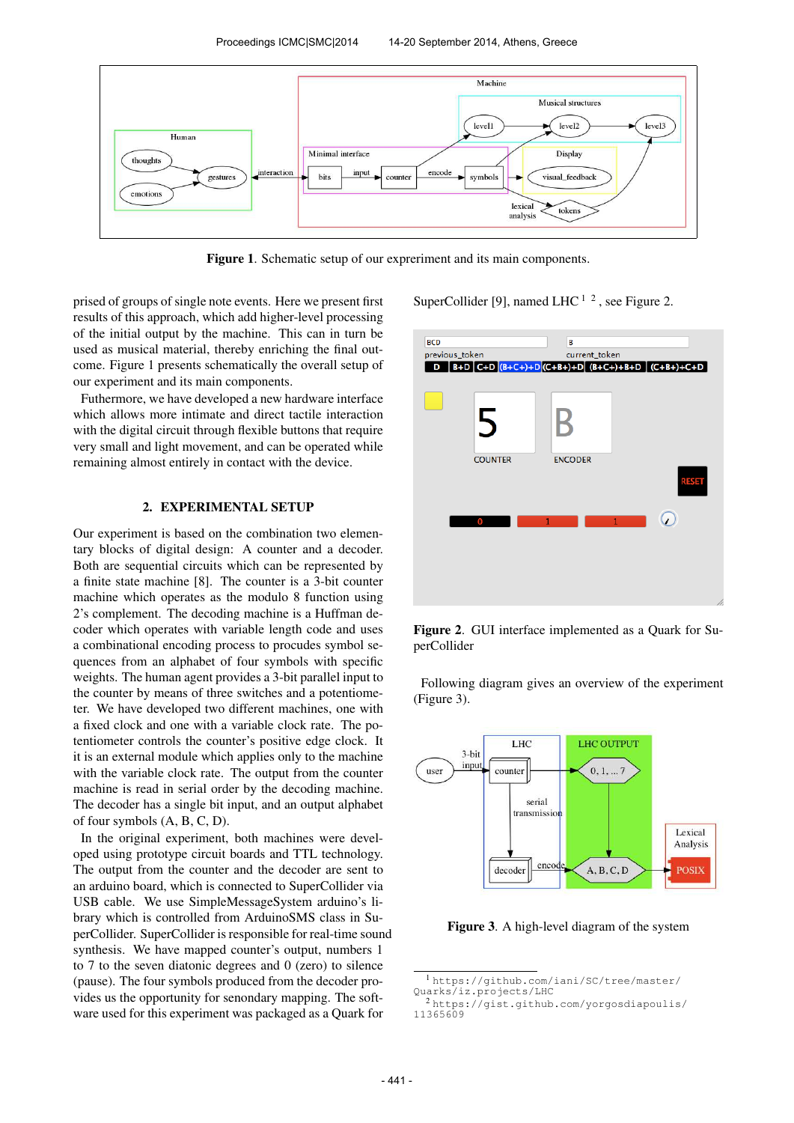

Figure 1. Schematic setup of our expreriment and its main components.

prised of groups of single note events. Here we present first results of this approach, which add higher-level processing of the initial output by the machine. This can in turn be used as musical material, thereby enriching the final outcome. Figure 1 presents schematically the overall setup of our experiment and its main components.

Futhermore, we have developed a new hardware interface which allows more intimate and direct tactile interaction with the digital circuit through flexible buttons that require very small and light movement, and can be operated while remaining almost entirely in contact with the device.

# 2. EXPERIMENTAL SETUP

Our experiment is based on the combination two elementary blocks of digital design: A counter and a decoder. Both are sequential circuits which can be represented by a finite state machine [8]. The counter is a 3-bit counter machine which operates as the modulo 8 function using 2's complement. The decoding machine is a Huffman decoder which operates with variable length code and uses a combinational encoding process to procudes symbol sequences from an alphabet of four symbols with specific weights. The human agent provides a 3-bit parallel input to the counter by means of three switches and a potentiometer. We have developed two different machines, one with a fixed clock and one with a variable clock rate. The potentiometer controls the counter's positive edge clock. It it is an external module which applies only to the machine with the variable clock rate. The output from the counter machine is read in serial order by the decoding machine. The decoder has a single bit input, and an output alphabet of four symbols (A, B, C, D).

In the original experiment, both machines were developed using prototype circuit boards and TTL technology. The output from the counter and the decoder are sent to an arduino board, which is connected to SuperCollider via USB cable. We use SimpleMessageSystem arduino's library which is controlled from ArduinoSMS class in SuperCollider. SuperCollider is responsible for real-time sound synthesis. We have mapped counter's output, numbers 1 to 7 to the seven diatonic degrees and 0 (zero) to silence (pause). The four symbols produced from the decoder provides us the opportunity for senondary mapping. The software used for this experiment was packaged as a Quark for

SuperCollider [9], named LHC  $^{1/2}$ , see Figure 2.



Figure 2. GUI interface implemented as a Quark for SuperCollider

Following diagram gives an overview of the experiment (Figure 3).



Figure 3. A high-level diagram of the system

<sup>1</sup> [https://github.com/iani/SC/tree/master/](https://github.com/iani/SC/tree/master/Quarks/iz.projects/LHC) [Quarks/iz.projects/LHC](https://github.com/iani/SC/tree/master/Quarks/iz.projects/LHC)

<sup>2</sup> [https://gist.github.com/yorgosdiapoulis/](https://gist.github.com/yorgosdiapoulis/11365609) [11365609](https://gist.github.com/yorgosdiapoulis/11365609)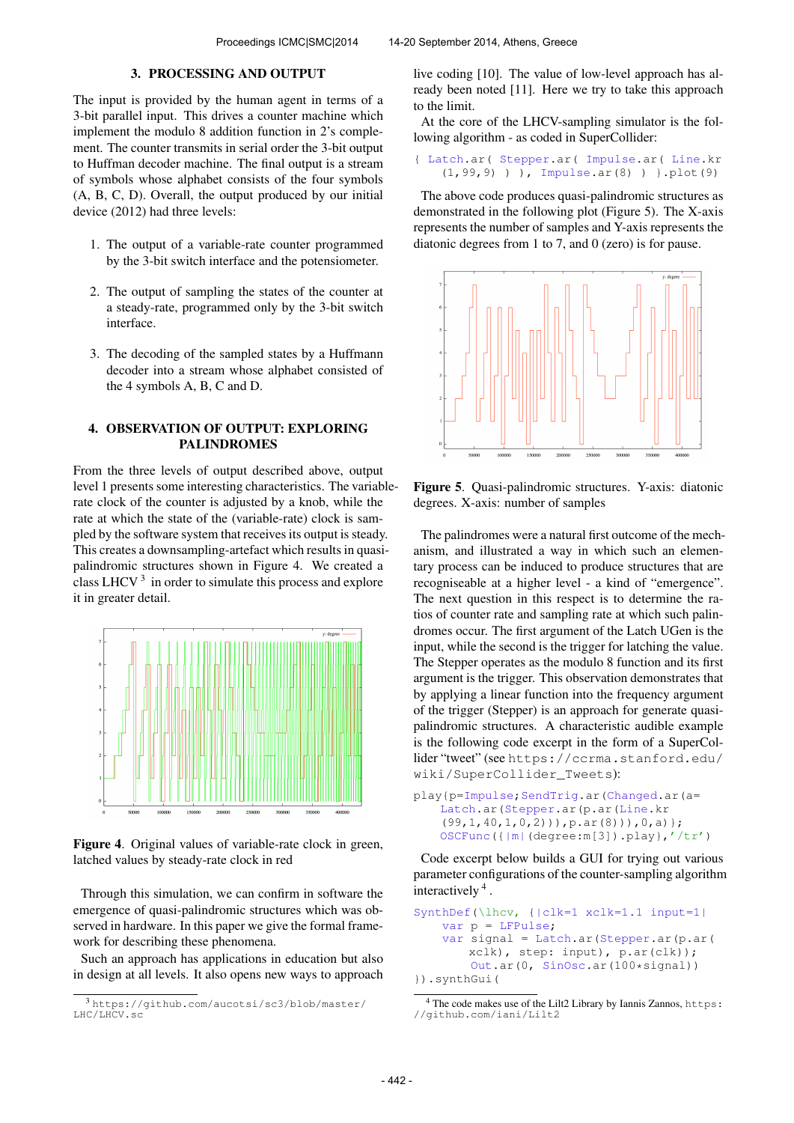# 3. PROCESSING AND OUTPUT

The input is provided by the human agent in terms of a 3-bit parallel input. This drives a counter machine which implement the modulo 8 addition function in 2's complement. The counter transmits in serial order the 3-bit output to Huffman decoder machine. The final output is a stream of symbols whose alphabet consists of the four symbols (A, B, C, D). Overall, the output produced by our initial device (2012) had three levels:

- 1. The output of a variable-rate counter programmed by the 3-bit switch interface and the potensiometer.
- 2. The output of sampling the states of the counter at a steady-rate, programmed only by the 3-bit switch interface.
- 3. The decoding of the sampled states by a Huffmann decoder into a stream whose alphabet consisted of the 4 symbols A, B, C and D.

# 4. OBSERVATION OF OUTPUT: EXPLORING PALINDROMES

From the three levels of output described above, output level 1 presents some interesting characteristics. The variablerate clock of the counter is adjusted by a knob, while the rate at which the state of the (variable-rate) clock is sampled by the software system that receives its output is steady. This creates a downsampling-artefact which results in quasipalindromic structures shown in Figure 4. We created a class LHCV $<sup>3</sup>$  in order to simulate this process and explore</sup> it in greater detail.



Figure 4. Original values of variable-rate clock in green, latched values by steady-rate clock in red

Through this simulation, we can confirm in software the emergence of quasi-palindromic structures which was observed in hardware. In this paper we give the formal framework for describing these phenomena.

Such an approach has applications in education but also in design at all levels. It also opens new ways to approach live coding [10]. The value of low-level approach has already been noted [11]. Here we try to take this approach to the limit.

At the core of the LHCV-sampling simulator is the following algorithm - as coded in SuperCollider:

{ Latch.ar( Stepper.ar( Impulse.ar( Line.kr (1,99,9) ) ), Impulse.ar(8) ) }.plot(9)

The above code produces quasi-palindromic structures as demonstrated in the following plot (Figure 5). The X-axis represents the number of samples and Y-axis represents the diatonic degrees from 1 to 7, and 0 (zero) is for pause.



Figure 5. Quasi-palindromic structures. Y-axis: diatonic degrees. X-axis: number of samples

The palindromes were a natural first outcome of the mechanism, and illustrated a way in which such an elementary process can be induced to produce structures that are recogniseable at a higher level - a kind of "emergence". The next question in this respect is to determine the ratios of counter rate and sampling rate at which such palindromes occur. The first argument of the Latch UGen is the input, while the second is the trigger for latching the value. The Stepper operates as the modulo 8 function and its first argument is the trigger. This observation demonstrates that by applying a linear function into the frequency argument of the trigger (Stepper) is an approach for generate quasipalindromic structures. A characteristic audible example is the following code excerpt in the form of a SuperCollider "tweet" (see [https://ccrma.stanford.edu/](https://ccrma.stanford.edu/wiki/SuperCollider_Tweets) [wiki/SuperCollider\\_Tweets](https://ccrma.stanford.edu/wiki/SuperCollider_Tweets)):

```
play{p=Impulse;SendTrig.ar(Changed.ar(a=
   Latch.ar(Stepper.ar(p.ar(Line.kr
    (99,1,40,1,0,2))),p.ar(8))),0,a)};
   OSCFunc({|m|(degree:m[3]).play},'/tr')
```
Code excerpt below builds a GUI for trying out various parameter configurations of the counter-sampling algorithm interactively <sup>4</sup> .

```
SynthDef(\lhcv, {|clk=1 xclk=1.1 input=1|
    var p = LFPulse;
    var signal = Latch.ar(Stepper.ar(p.ar(
       xclk), step: input), p.ar(clk));
        Out.ar(0, SinOsc.ar(100*signal))
}).synthGui(
```
<sup>3</sup> [https://github.com/aucotsi/sc3/blob/master/](https://github.com/aucotsi/sc3/blob/master/LHC/LHCV.sc) [LHC/LHCV.sc](https://github.com/aucotsi/sc3/blob/master/LHC/LHCV.sc)

<sup>&</sup>lt;sup>4</sup> The code makes use of the Lilt2 Library by Iannis Zannos, [https:](https://github.com/iani/Lilt2) [//github.com/iani/Lilt2](https://github.com/iani/Lilt2)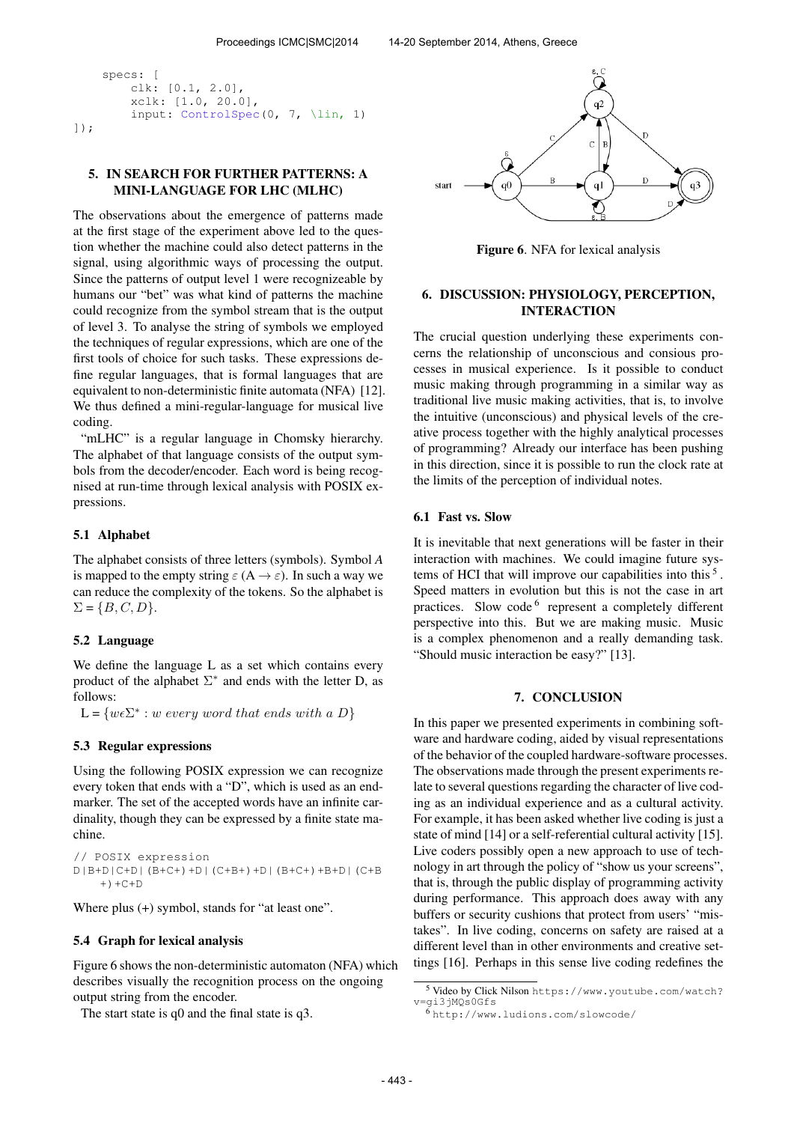```
specs: [
        clk: [0.1, 2.0],
        xclk: [1.0, 20.0],
        input: ControlSpec(0, 7, \lin, 1)
]);
```
# 5. IN SEARCH FOR FURTHER PATTERNS: A MINI-LANGUAGE FOR LHC (MLHC)

The observations about the emergence of patterns made at the first stage of the experiment above led to the question whether the machine could also detect patterns in the signal, using algorithmic ways of processing the output. Since the patterns of output level 1 were recognizeable by humans our "bet" was what kind of patterns the machine could recognize from the symbol stream that is the output of level 3. To analyse the string of symbols we employed the techniques of regular expressions, which are one of the first tools of choice for such tasks. These expressions define regular languages, that is formal languages that are equivalent to non-deterministic finite automata (NFA) [12]. We thus defined a mini-regular-language for musical live coding.

"mLHC" is a regular language in Chomsky hierarchy. The alphabet of that language consists of the output symbols from the decoder/encoder. Each word is being recognised at run-time through lexical analysis with POSIX expressions.

## 5.1 Alphabet

The alphabet consists of three letters (symbols). Symbol *A* is mapped to the empty string  $\varepsilon(A \to \varepsilon)$ . In such a way we can reduce the complexity of the tokens. So the alphabet is  $\Sigma = \{B, C, D\}.$ 

## 5.2 Language

We define the language L as a set which contains every product of the alphabet  $\Sigma^*$  and ends with the letter D, as follows:

 $L = \{w \in \Sigma^* : w \text{ every word that ends with a } D\}$ 

## 5.3 Regular expressions

Using the following POSIX expression we can recognize every token that ends with a "D", which is used as an endmarker. The set of the accepted words have an infinite cardinality, though they can be expressed by a finite state machine.

```
// POSIX expression
D|B+D|C+D|(B+C+)+D|(C+B+)+D|(B+C+)+B+D|(C+B
   +) +C+D
```
Where plus (+) symbol, stands for "at least one".

## 5.4 Graph for lexical analysis

Figure 6 shows the non-deterministic automaton (NFA) which describes visually the recognition process on the ongoing output string from the encoder.

The start state is q0 and the final state is q3.



Figure 6. NFA for lexical analysis

## 6. DISCUSSION: PHYSIOLOGY, PERCEPTION, INTERACTION

The crucial question underlying these experiments concerns the relationship of unconscious and consious processes in musical experience. Is it possible to conduct music making through programming in a similar way as traditional live music making activities, that is, to involve the intuitive (unconscious) and physical levels of the creative process together with the highly analytical processes of programming? Already our interface has been pushing in this direction, since it is possible to run the clock rate at the limits of the perception of individual notes.

# 6.1 Fast vs. Slow

It is inevitable that next generations will be faster in their interaction with machines. We could imagine future systems of HCI that will improve our capabilities into this<sup>5</sup>. Speed matters in evolution but this is not the case in art practices. Slow code <sup>6</sup> represent a completely different perspective into this. But we are making music. Music is a complex phenomenon and a really demanding task. "Should music interaction be easy?" [13].

## 7. CONCLUSION

In this paper we presented experiments in combining software and hardware coding, aided by visual representations of the behavior of the coupled hardware-software processes. The observations made through the present experiments relate to several questions regarding the character of live coding as an individual experience and as a cultural activity. For example, it has been asked whether live coding is just a state of mind [14] or a self-referential cultural activity [15]. Live coders possibly open a new approach to use of technology in art through the policy of "show us your screens", that is, through the public display of programming activity during performance. This approach does away with any buffers or security cushions that protect from users' "mistakes". In live coding, concerns on safety are raised at a different level than in other environments and creative settings [16]. Perhaps in this sense live coding redefines the

<sup>5</sup> Video by Click Nilson [https://www.youtube.com/watch?](https://www.youtube.com/watch?v=gi3jMQs0Gfs) [v=gi3jMQs0Gfs](https://www.youtube.com/watch?v=gi3jMQs0Gfs)

 $6$ <http://www.ludions.com/slowcode/>